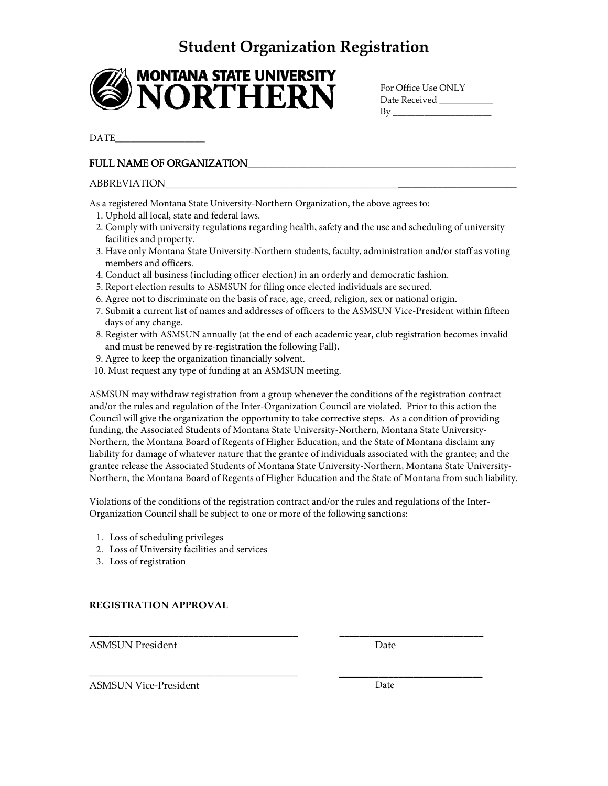## **Student Organization Registration**



For Office Use ONLY Date Received  $By$ 

DATE\_\_\_\_\_\_\_\_\_\_\_\_\_\_\_\_\_\_

### FULL NAME OF ORGANIZATION

#### ABBREVIATION\_\_\_\_\_\_\_\_\_\_\_\_\_\_\_\_\_\_\_\_\_\_\_\_\_\_\_\_\_\_\_\_\_\_\_\_\_\_\_\_\_\_\_\_\_\_\_\_\_\_\_\_\_\_\_\_\_\_\_\_\_\_\_\_\_\_\_\_\_\_\_

As a registered Montana State University-Northern Organization, the above agrees to:

- 1..Uphold all local, state and federal laws.
- 2. Comply with university regulations regarding health, safety and the use and scheduling of university facilities and property.
- 3. Have only Montana State University‐Northern students, faculty, administration and/or staff as voting members and officers.
- 4. Conduct all business (including officer election) in an orderly and democratic fashion.
- 5. Report election results to ASMSUN for filing once elected individuals are secured.
- 6. Agree not to discriminate on the basis of race, age, creed, religion, sex or national origin.
- 7. Submit a current list of names and addresses of officers to the ASMSUN Vice‐President within fifteen days of any change.
- 8. Register with ASMSUN annually (at the end of each academic year, club registration becomes invalid and must be renewed by re-registration the following Fall).
- 9. Agree to keep the organization financially solvent.
- 10. Must request any type of funding at an ASMSUN meeting.

ASMSUN may withdraw registration from a group whenever the conditions of the registration contract and/or the rules and regulation of the Inter‐Organization Council are violated. Prior to this action the Council will give the organization the opportunity to take corrective steps. As a condition of providing funding, the Associated Students of Montana State University-Northern, Montana State University-Northern, the Montana Board of Regents of Higher Education, and the State of Montana disclaim any liability for damage of whatever nature that the grantee of individuals associated with the grantee; and the grantee release the Associated Students of Montana State University-Northern, Montana State University-Northern, the Montana Board of Regents of Higher Education and the State of Montana from such liability.

Violations of the conditions of the registration contract and/or the rules and regulations of the Inter-Organization Council shall be subject to one or more of the following sanctions:

- 1. Loss of scheduling privileges
- 2. Loss of University facilities and services

\_\_\_\_\_\_\_\_\_\_\_\_\_\_\_\_\_\_\_\_\_\_\_\_\_\_\_\_\_\_\_\_\_\_\_\_\_\_\_\_\_\_

\_\_\_\_\_\_\_\_\_\_\_\_\_\_\_\_\_\_\_\_\_\_\_\_\_\_\_\_\_\_\_\_\_\_\_\_\_\_\_\_\_\_

3. Loss of registration

#### **REGISTRATION APPROVAL**

ASMSUN President

Date

\_\_\_\_\_\_\_\_\_\_\_\_\_\_\_\_\_\_\_\_\_\_\_\_\_\_\_\_\_

\_\_\_\_\_\_\_\_\_\_\_\_\_\_\_\_\_\_\_\_\_\_\_\_\_\_\_\_\_

ASMSUN Vice‐President

Date